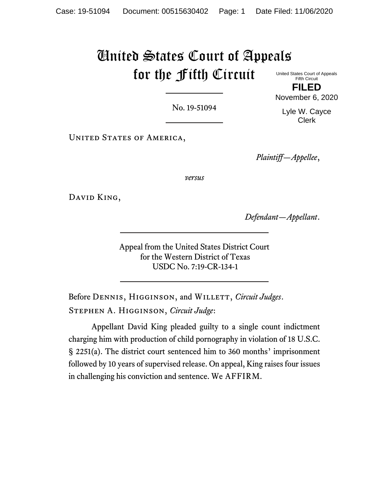# United States Court of Appeals for the Fifth Circuit

United States Court of Appeals Fifth Circuit **FILED**

No. 19-51094

Lyle W. Cayce Clerk

November 6, 2020

UNITED STATES OF AMERICA,

*Plaintiff—Appellee*,

*versus*

David King,

*Defendant—Appellant*.

Appeal from the United States District Court for the Western District of Texas USDC No. 7:19-CR-134-1

Before DENNIS, HIGGINSON, and WILLETT, *Circuit Judges*. Stephen A. Higginson, *Circuit Judge*:

Appellant David King pleaded guilty to a single count indictment charging him with production of child pornography in violation of 18 U.S.C. § 2251(a). The district court sentenced him to 360 months' imprisonment followed by 10 years of supervised release. On appeal, King raises four issues in challenging his conviction and sentence. We AFFIRM.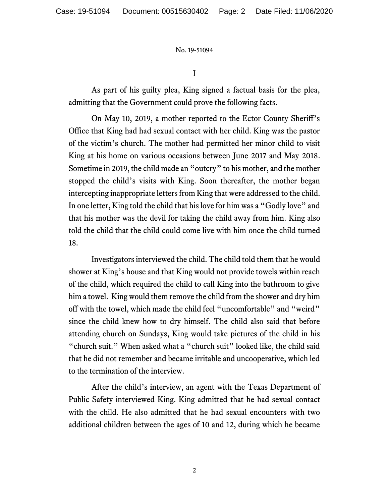I

As part of his guilty plea, King signed a factual basis for the plea, admitting that the Government could prove the following facts.

On May 10, 2019, a mother reported to the Ector County Sheriff's Office that King had had sexual contact with her child. King was the pastor of the victim's church. The mother had permitted her minor child to visit King at his home on various occasions between June 2017 and May 2018. Sometime in 2019, the child made an "outcry" to his mother, and the mother stopped the child's visits with King. Soon thereafter, the mother began intercepting inappropriate letters from King that were addressed to the child. In one letter, King told the child that his love for him was a "Godly love" and that his mother was the devil for taking the child away from him. King also told the child that the child could come live with him once the child turned 18.

Investigators interviewed the child. The child told them that he would shower at King's house and that King would not provide towels within reach of the child, which required the child to call King into the bathroom to give him a towel. King would them remove the child from the shower and dry him off with the towel, which made the child feel "uncomfortable" and "weird" since the child knew how to dry himself. The child also said that before attending church on Sundays, King would take pictures of the child in his "church suit." When asked what a "church suit" looked like, the child said that he did not remember and became irritable and uncooperative, which led to the termination of the interview.

After the child's interview, an agent with the Texas Department of Public Safety interviewed King. King admitted that he had sexual contact with the child. He also admitted that he had sexual encounters with two additional children between the ages of 10 and 12, during which he became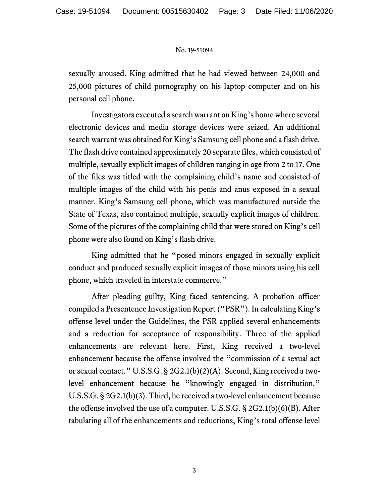sexually aroused. King admitted that he had viewed between 24,000 and 25,000 pictures of child pornography on his laptop computer and on his personal cell phone.

Investigators executed a search warrant on King's home where several electronic devices and media storage devices were seized. An additional search warrant was obtained for King's Samsung cell phone and a flash drive. The flash drive contained approximately 20 separate files, which consisted of multiple, sexually explicit images of children ranging in age from 2 to 17. One of the files was titled with the complaining child's name and consisted of multiple images of the child with his penis and anus exposed in a sexual manner. King's Samsung cell phone, which was manufactured outside the State of Texas, also contained multiple, sexually explicit images of children. Some of the pictures of the complaining child that were stored on King's cell phone were also found on King's flash drive.

King admitted that he "posed minors engaged in sexually explicit conduct and produced sexually explicit images of those minors using his cell phone, which traveled in interstate commerce."

After pleading guilty, King faced sentencing. A probation officer compiled a Presentence Investigation Report ("PSR"). In calculating King's offense level under the Guidelines, the PSR applied several enhancements and a reduction for acceptance of responsibility. Three of the applied enhancements are relevant here. First, King received a two-level enhancement because the offense involved the "commission of a sexual act or sexual contact." U.S.S.G. § 2G2.1(b)(2)(A). Second, King received a twolevel enhancement because he "knowingly engaged in distribution." U.S.S.G. § 2G2.1(b)(3). Third, he received a two-level enhancement because the offense involved the use of a computer. U.S.S.G. § 2G2.1(b)(6)(B). After tabulating all of the enhancements and reductions, King's total offense level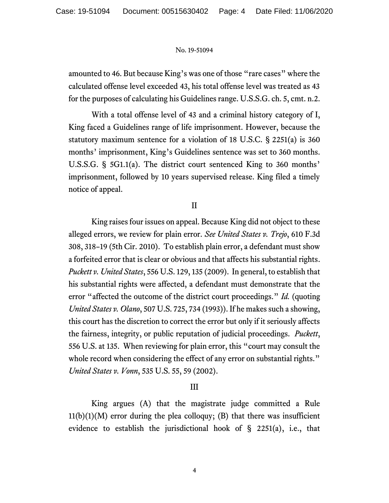amounted to 46. But because King's was one of those "rare cases" where the calculated offense level exceeded 43, his total offense level was treated as 43 for the purposes of calculating his Guidelines range. U.S.S.G. ch. 5, cmt. n.2.

With a total offense level of 43 and a criminal history category of I, King faced a Guidelines range of life imprisonment. However, because the statutory maximum sentence for a violation of 18 U.S.C. § 2251(a) is 360 months' imprisonment, King's Guidelines sentence was set to 360 months. U.S.S.G. § 5G1.1(a). The district court sentenced King to 360 months' imprisonment, followed by 10 years supervised release. King filed a timely notice of appeal.

II

King raises four issues on appeal. Because King did not object to these alleged errors, we review for plain error. *See United States v. Trejo*, 610 F.3d 308, 318–19 (5th Cir. 2010). To establish plain error, a defendant must show a forfeited error that is clear or obvious and that affects his substantial rights. *Puckett v. United States*, 556 U.S. 129, 135 (2009). In general, to establish that his substantial rights were affected, a defendant must demonstrate that the error "affected the outcome of the district court proceedings." *Id.* (quoting *United States v. Olano*, 507 U.S. 725, 734 (1993)). If he makes such a showing, this court has the discretion to correct the error but only if it seriously affects the fairness, integrity, or public reputation of judicial proceedings. *Puckett*, 556 U.S. at 135. When reviewing for plain error, this "court may consult the whole record when considering the effect of any error on substantial rights." *United States v. Vonn*, 535 U.S. 55, 59 (2002).

# III

King argues (A) that the magistrate judge committed a Rule  $11(b)(1)(M)$  error during the plea colloquy; (B) that there was insufficient evidence to establish the jurisdictional hook of § 2251(a), i.e., that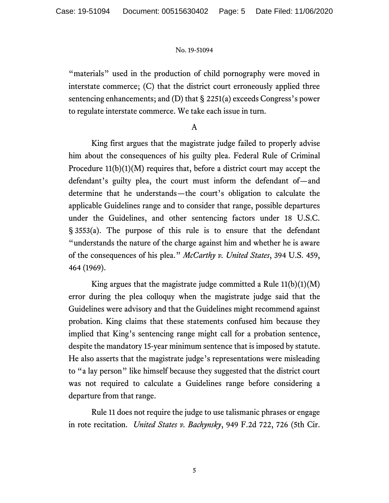"materials" used in the production of child pornography were moved in interstate commerce; (C) that the district court erroneously applied three sentencing enhancements; and (D) that § 2251(a) exceeds Congress's power to regulate interstate commerce. We take each issue in turn.

## A

King first argues that the magistrate judge failed to properly advise him about the consequences of his guilty plea. Federal Rule of Criminal Procedure  $11(b)(1)(M)$  requires that, before a district court may accept the defendant's guilty plea, the court must inform the defendant of—and determine that he understands—the court's obligation to calculate the applicable Guidelines range and to consider that range, possible departures under the Guidelines, and other sentencing factors under 18 U.S.C. § 3553(a). The purpose of this rule is to ensure that the defendant "understands the nature of the charge against him and whether he is aware of the consequences of his plea." *McCarthy v. United States*, 394 U.S. 459, 464 (1969).

King argues that the magistrate judge committed a Rule  $11(b)(1)(M)$ error during the plea colloquy when the magistrate judge said that the Guidelines were advisory and that the Guidelines might recommend against probation. King claims that these statements confused him because they implied that King's sentencing range might call for a probation sentence, despite the mandatory 15-year minimum sentence that is imposed by statute. He also asserts that the magistrate judge's representations were misleading to "a lay person" like himself because they suggested that the district court was not required to calculate a Guidelines range before considering a departure from that range.

Rule 11 does not require the judge to use talismanic phrases or engage in rote recitation. *United States v. Bachynsky*, 949 F.2d 722, 726 (5th Cir.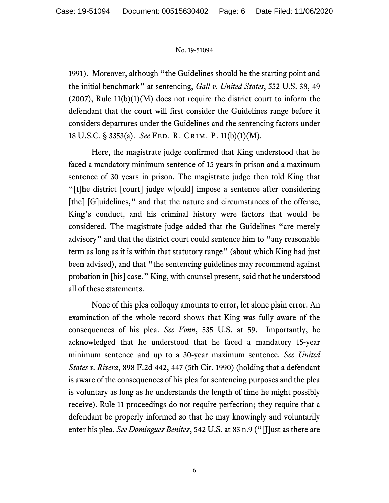1991). Moreover, although "the Guidelines should be the starting point and the initial benchmark" at sentencing, *Gall v. United States*, 552 U.S. 38, 49  $(2007)$ , Rule  $11(b)(1)(M)$  does not require the district court to inform the defendant that the court will first consider the Guidelines range before it considers departures under the Guidelines and the sentencing factors under 18 U.S.C. § 3353(a). *See* Fed. R. Crim. P. 11(b)(1)(M).

Here, the magistrate judge confirmed that King understood that he faced a mandatory minimum sentence of 15 years in prison and a maximum sentence of 30 years in prison. The magistrate judge then told King that "[t]he district [court] judge w[ould] impose a sentence after considering [the] [G]uidelines," and that the nature and circumstances of the offense, King's conduct, and his criminal history were factors that would be considered. The magistrate judge added that the Guidelines "are merely advisory" and that the district court could sentence him to "any reasonable term as long as it is within that statutory range" (about which King had just been advised), and that "the sentencing guidelines may recommend against probation in [his] case." King, with counsel present, said that he understood all of these statements.

None of this plea colloquy amounts to error, let alone plain error. An examination of the whole record shows that King was fully aware of the consequences of his plea. *See Vonn*, 535 U.S. at 59. Importantly, he acknowledged that he understood that he faced a mandatory 15-year minimum sentence and up to a 30-year maximum sentence. *See United States v. Rivera*, 898 F.2d 442, 447 (5th Cir. 1990) (holding that a defendant is aware of the consequences of his plea for sentencing purposes and the plea is voluntary as long as he understands the length of time he might possibly receive). Rule 11 proceedings do not require perfection; they require that a defendant be properly informed so that he may knowingly and voluntarily enter his plea. *See Dominguez Benitez*, 542 U.S. at 83 n.9 ("[J]ust as there are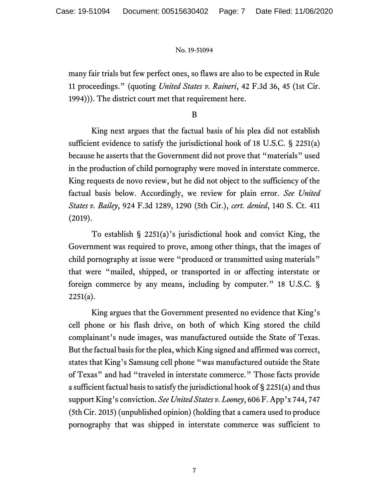many fair trials but few perfect ones, so flaws are also to be expected in Rule 11 proceedings." (quoting *United States v. Raineri*, 42 F.3d 36, 45 (1st Cir. 1994))). The district court met that requirement here.

B

King next argues that the factual basis of his plea did not establish sufficient evidence to satisfy the jurisdictional hook of 18 U.S.C. § 2251(a) because he asserts that the Government did not prove that "materials" used in the production of child pornography were moved in interstate commerce. King requests de novo review, but he did not object to the sufficiency of the factual basis below. Accordingly, we review for plain error. *See United States v. Bailey*, 924 F.3d 1289, 1290 (5th Cir.), *cert. denied*, 140 S. Ct. 411 (2019).

To establish § 2251(a)'s jurisdictional hook and convict King, the Government was required to prove, among other things, that the images of child pornography at issue were "produced or transmitted using materials" that were "mailed, shipped, or transported in or affecting interstate or foreign commerce by any means, including by computer." 18 U.S.C. §  $2251(a)$ .

King argues that the Government presented no evidence that King's cell phone or his flash drive, on both of which King stored the child complainant's nude images, was manufactured outside the State of Texas. But the factual basis for the plea, which King signed and affirmed was correct, states that King's Samsung cell phone "was manufactured outside the State of Texas" and had "traveled in interstate commerce." Those facts provide a sufficient factual basis to satisfy the jurisdictional hook of § 2251(a) and thus support King's conviction. *See United States v. Looney*, 606 F. App'x 744, 747 (5th Cir. 2015) (unpublished opinion) (holding that a camera used to produce pornography that was shipped in interstate commerce was sufficient to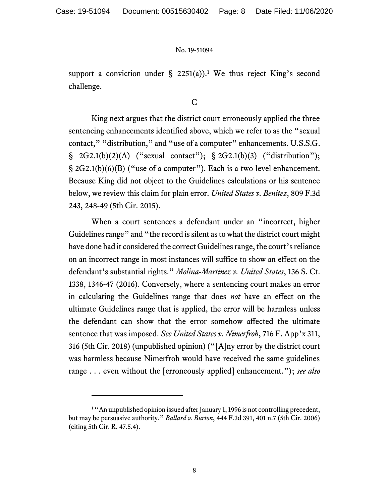support a conviction under  $\S$  2251(a)).<sup>1</sup> We thus reject King's second challenge.

## C

King next argues that the district court erroneously applied the three sentencing enhancements identified above, which we refer to as the "sexual contact," "distribution," and "use of a computer" enhancements. U.S.S.G.  $\S$  2G2.1(b)(2)(A) ("sexual contact");  $\S$  2G2.1(b)(3) ("distribution"); § 2G2.1(b)(6)(B) ("use of a computer"). Each is a two-level enhancement. Because King did not object to the Guidelines calculations or his sentence below, we review this claim for plain error. *United States v. Benitez*, 809 F.3d 243, 248-49 (5th Cir. 2015).

When a court sentences a defendant under an "incorrect, higher Guidelines range" and "the record is silent as to what the district court might have done had it considered the correct Guidelines range, the court's reliance on an incorrect range in most instances will suffice to show an effect on the defendant's substantial rights." *Molina-Martinez v. United States*, 136 S. Ct. 1338, 1346-47 (2016). Conversely, where a sentencing court makes an error in calculating the Guidelines range that does *not* have an effect on the ultimate Guidelines range that is applied, the error will be harmless unless the defendant can show that the error somehow affected the ultimate sentence that was imposed. *See United States v. Nimerfroh*, 716 F. App'x 311, 316 (5th Cir. 2018) (unpublished opinion) ("[A]ny error by the district court was harmless because Nimerfroh would have received the same guidelines range . . . even without the [erroneously applied] enhancement."); *see also*

<sup>&</sup>lt;sup>1</sup> "An unpublished opinion issued after January 1, 1996 is not controlling precedent, but may be persuasive authority." *Ballard v. Burton*, 444 F.3d 391, 401 n.7 (5th Cir. 2006) (citing 5th Cir. R. 47.5.4).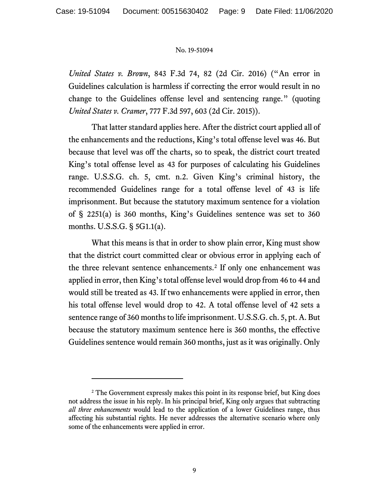*United States v. Brown*, 843 F.3d 74, 82 (2d Cir. 2016) ("An error in Guidelines calculation is harmless if correcting the error would result in no change to the Guidelines offense level and sentencing range." (quoting *United States v. Cramer*, 777 F.3d 597, 603 (2d Cir. 2015)).

That latter standard applies here. After the district court applied all of the enhancements and the reductions, King's total offense level was 46. But because that level was off the charts, so to speak, the district court treated King's total offense level as 43 for purposes of calculating his Guidelines range. U.S.S.G. ch. 5, cmt. n.2. Given King's criminal history, the recommended Guidelines range for a total offense level of 43 is life imprisonment. But because the statutory maximum sentence for a violation of § 2251(a) is 360 months, King's Guidelines sentence was set to 360 months. U.S.S.G. § 5G1.1(a).

What this means is that in order to show plain error, King must show that the district court committed clear or obvious error in applying each of the three relevant sentence enhancements.<sup>2</sup> If only one enhancement was applied in error, then King's total offense level would drop from 46 to 44 and would still be treated as 43. If two enhancements were applied in error, then his total offense level would drop to 42. A total offense level of 42 sets a sentence range of 360 months to life imprisonment. U.S.S.G. ch. 5, pt. A. But because the statutory maximum sentence here is 360 months, the effective Guidelines sentence would remain 360 months, just as it was originally. Only

<sup>&</sup>lt;sup>2</sup> The Government expressly makes this point in its response brief, but King does not address the issue in his reply. In his principal brief, King only argues that subtracting *all three enhancements* would lead to the application of a lower Guidelines range, thus affecting his substantial rights. He never addresses the alternative scenario where only some of the enhancements were applied in error.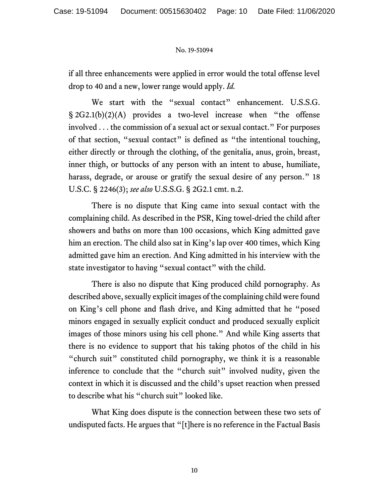if all three enhancements were applied in error would the total offense level drop to 40 and a new, lower range would apply. *Id.*

We start with the "sexual contact" enhancement. U.S.S.G. § 2G2.1(b)(2)(A) provides a two-level increase when "the offense involved . . . the commission of a sexual act or sexual contact." For purposes of that section, "sexual contact" is defined as "the intentional touching, either directly or through the clothing, of the genitalia, anus, groin, breast, inner thigh, or buttocks of any person with an intent to abuse, humiliate, harass, degrade, or arouse or gratify the sexual desire of any person." 18 U.S.C. § 2246(3); *see also* U.S.S.G. § 2G2.1 cmt. n.2.

There is no dispute that King came into sexual contact with the complaining child. As described in the PSR, King towel-dried the child after showers and baths on more than 100 occasions, which King admitted gave him an erection. The child also sat in King's lap over 400 times, which King admitted gave him an erection. And King admitted in his interview with the state investigator to having "sexual contact" with the child.

There is also no dispute that King produced child pornography. As described above, sexually explicit images of the complaining child were found on King's cell phone and flash drive, and King admitted that he "posed minors engaged in sexually explicit conduct and produced sexually explicit images of those minors using his cell phone." And while King asserts that there is no evidence to support that his taking photos of the child in his "church suit" constituted child pornography, we think it is a reasonable inference to conclude that the "church suit" involved nudity, given the context in which it is discussed and the child's upset reaction when pressed to describe what his "church suit" looked like.

What King does dispute is the connection between these two sets of undisputed facts. He argues that "[t]here is no reference in the Factual Basis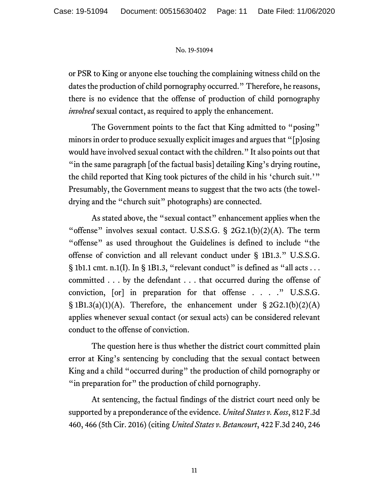or PSR to King or anyone else touching the complaining witness child on the dates the production of child pornography occurred." Therefore, he reasons, there is no evidence that the offense of production of child pornography *involved* sexual contact, as required to apply the enhancement.

The Government points to the fact that King admitted to "posing" minors in order to produce sexually explicit images and argues that "[p]osing would have involved sexual contact with the children." It also points out that "in the same paragraph [of the factual basis] detailing King's drying routine, the child reported that King took pictures of the child in his 'church suit.'" Presumably, the Government means to suggest that the two acts (the toweldrying and the "church suit" photographs) are connected.

As stated above, the "sexual contact" enhancement applies when the "offense" involves sexual contact. U.S.S.G.  $\S$  2G2.1(b)(2)(A). The term "offense" as used throughout the Guidelines is defined to include "the offense of conviction and all relevant conduct under § 1B1.3." U.S.S.G. § 1b1.1 cmt. n.1(I). In § 1B1.3, "relevant conduct" is defined as "all acts ... committed . . . by the defendant . . . that occurred during the offense of conviction, [or] in preparation for that offense . . . ." U.S.S.G.  $\S 1B1.3(a)(1)(A)$ . Therefore, the enhancement under  $\S 2G2.1(b)(2)(A)$ applies whenever sexual contact (or sexual acts) can be considered relevant conduct to the offense of conviction.

The question here is thus whether the district court committed plain error at King's sentencing by concluding that the sexual contact between King and a child "occurred during" the production of child pornography or "in preparation for" the production of child pornography.

At sentencing, the factual findings of the district court need only be supported by a preponderance of the evidence. *United States v. Koss*, 812 F.3d 460, 466 (5th Cir. 2016) (citing *United States v. Betancourt*, 422 F.3d 240, 246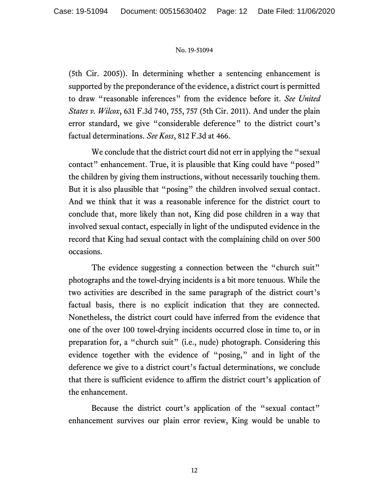(5th Cir. 2005)). In determining whether a sentencing enhancement is supported by the preponderance of the evidence, a district court is permitted to draw "reasonable inferences" from the evidence before it. *See United States v. Wilcox*, 631 F.3d 740, 755, 757 (5th Cir. 2011). And under the plain error standard, we give "considerable deference" to the district court's factual determinations. *See Koss*, 812 F.3d at 466.

We conclude that the district court did not err in applying the "sexual contact" enhancement. True, it is plausible that King could have "posed" the children by giving them instructions, without necessarily touching them. But it is also plausible that "posing" the children involved sexual contact. And we think that it was a reasonable inference for the district court to conclude that, more likely than not, King did pose children in a way that involved sexual contact, especially in light of the undisputed evidence in the record that King had sexual contact with the complaining child on over 500 occasions.

The evidence suggesting a connection between the "church suit" photographs and the towel-drying incidents is a bit more tenuous. While the two activities are described in the same paragraph of the district court's factual basis, there is no explicit indication that they are connected. Nonetheless, the district court could have inferred from the evidence that one of the over 100 towel-drying incidents occurred close in time to, or in preparation for, a "church suit" (i.e., nude) photograph. Considering this evidence together with the evidence of "posing," and in light of the deference we give to a district court's factual determinations, we conclude that there is sufficient evidence to affirm the district court's application of the enhancement.

Because the district court's application of the "sexual contact" enhancement survives our plain error review, King would be unable to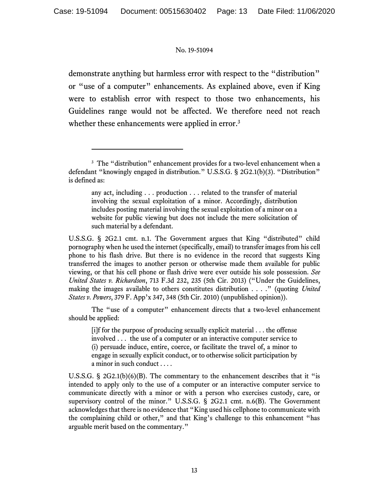demonstrate anything but harmless error with respect to the "distribution" or "use of a computer" enhancements. As explained above, even if King were to establish error with respect to those two enhancements, his Guidelines range would not be affected. We therefore need not reach whether these enhancements were applied in error.<sup>3</sup>

any act, including . . . production . . . related to the transfer of material involving the sexual exploitation of a minor. Accordingly, distribution includes posting material involving the sexual exploitation of a minor on a website for public viewing but does not include the mere solicitation of such material by a defendant.

U.S.S.G. § 2G2.1 cmt. n.1. The Government argues that King "distributed" child pornography when he used the internet (specifically, email) to transfer images from his cell phone to his flash drive. But there is no evidence in the record that suggests King transferred the images to another person or otherwise made them available for public viewing, or that his cell phone or flash drive were ever outside his sole possession. *See United States v. Richardson*, 713 F.3d 232, 235 (5th Cir. 2013) ("Under the Guidelines, making the images available to others constitutes distribution . . . ." (quoting *United States v. Powers*, 379 F. App'x 347, 348 (5th Cir. 2010) (unpublished opinion)).

The "use of a computer" enhancement directs that a two-level enhancement should be applied:

 $[i]$ f for the purpose of producing sexually explicit material  $\ldots$  the offense involved . . . the use of a computer or an interactive computer service to (i) persuade induce, entire, coerce, or facilitate the travel of, a minor to engage in sexually explicit conduct, or to otherwise solicit participation by a minor in such conduct . . . .

U.S.S.G. §  $2G2.1(b)(6)(B)$ . The commentary to the enhancement describes that it "is intended to apply only to the use of a computer or an interactive computer service to communicate directly with a minor or with a person who exercises custody, care, or supervisory control of the minor." U.S.S.G. § 2G2.1 cmt. n.6(B). The Government acknowledges that there is no evidence that "King used his cellphone to communicate with the complaining child or other," and that King's challenge to this enhancement "has arguable merit based on the commentary."

<sup>&</sup>lt;sup>3</sup> The "distribution" enhancement provides for a two-level enhancement when a defendant "knowingly engaged in distribution." U.S.S.G. § 2G2.1(b)(3). "Distribution" is defined as: